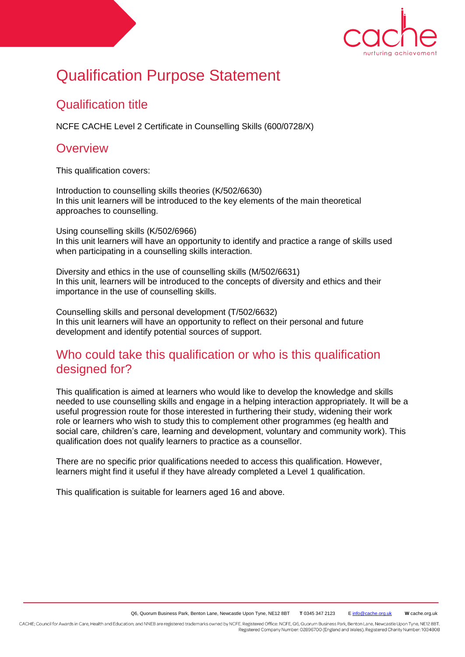

# Qualification Purpose Statement

## Qualification title

NCFE CACHE Level 2 Certificate in Counselling Skills (600/0728/X)

## **Overview**

This qualification covers:

Introduction to counselling skills theories (K/502/6630) In this unit learners will be introduced to the key elements of the main theoretical approaches to counselling.

Using counselling skills (K/502/6966) In this unit learners will have an opportunity to identify and practice a range of skills used when participating in a counselling skills interaction.

Diversity and ethics in the use of counselling skills (M/502/6631) In this unit, learners will be introduced to the concepts of diversity and ethics and their importance in the use of counselling skills.

Counselling skills and personal development (T/502/6632) In this unit learners will have an opportunity to reflect on their personal and future development and identify potential sources of support.

#### Who could take this qualification or who is this qualification designed for?

This qualification is aimed at learners who would like to develop the knowledge and skills needed to use counselling skills and engage in a helping interaction appropriately. It will be a useful progression route for those interested in furthering their study, widening their work role or learners who wish to study this to complement other programmes (eg health and social care, children's care, learning and development, voluntary and community work). This qualification does not qualify learners to practice as a counsellor.

There are no specific prior qualifications needed to access this qualification. However, learners might find it useful if they have already completed a Level 1 qualification.

This qualification is suitable for learners aged 16 and above.

CACHE; Council for Awards in Care, Health and Education; and NNEB are registered trademarks owned by NCFE. Registered Office: NCFE, Q6, Quorum Business Park, Benton Lane, Newcastle Upon Tyne, NE12 8BT. Registered Company Number: 02896700 (England and Wales). Registered Charity Number: 1034808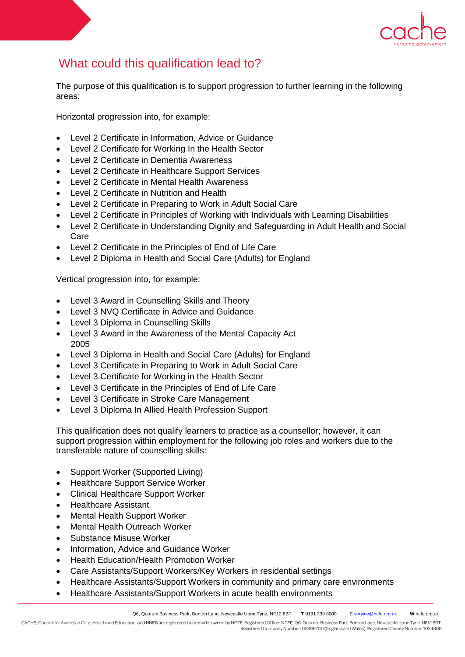

# What could this qualification lead to?

The purpose of this qualification is to support progression to further learning in the following areas:

Horizontal progression into, for example:

- Level 2 Certificate in Information, Advice or Guidance
- Level 2 Certificate for Working In the Health Sector
- Level 2 Certificate in Dementia Awareness
- Level 2 Certificate in Healthcare Support Services
- Level 2 Certificate in Mental Health Awareness
- Level 2 Certificate in Nutrition and Health
- Level 2 Certificate in Preparing to Work in Adult Social Care
- Level 2 Certificate in Principles of Working with Individuals with Learning Disabilities
- Level 2 Certificate in Understanding Dignity and Safeguarding in Adult Health and Social Care
- Level 2 Certificate in the Principles of End of Life Care
- Level 2 Diploma in Health and Social Care (Adults) for England

Vertical progression into, for example:

- Level 3 Award in Counselling Skills and Theory
- Level 3 NVQ Certificate in Advice and Guidance
- Level 3 Diploma in Counselling Skills
- Level 3 Award in the Awareness of the Mental Capacity Act 2005
- Level 3 Diploma in Health and Social Care (Adults) for England
- Level 3 Certificate in Preparing to Work in Adult Social Care
- Level 3 Certificate for Working in the Health Sector
- Level 3 Certificate in the Principles of End of Life Care
- Level 3 Certificate in Stroke Care Management
- Level 3 Diploma In Allied Health Profession Support

This qualification does not qualify learners to practice as a counsellor; however, it can support progression within employment for the following job roles and workers due to the transferable nature of counselling skills:

- Support Worker (Supported Living)
- Healthcare Support Service Worker
- Clinical Healthcare Support Worker
- Healthcare Assistant
- Mental Health Support Worker
- Mental Health Outreach Worker
- Substance Misuse Worker
- Information, Advice and Guidance Worker
- Health Education/Health Promotion Worker
- Care Assistants/Support Workers/Key Workers in residential settings
- Healthcare Assistants/Support Workers in community and primary care environments
- Healthcare Assistants/Support Workers in acute health environments